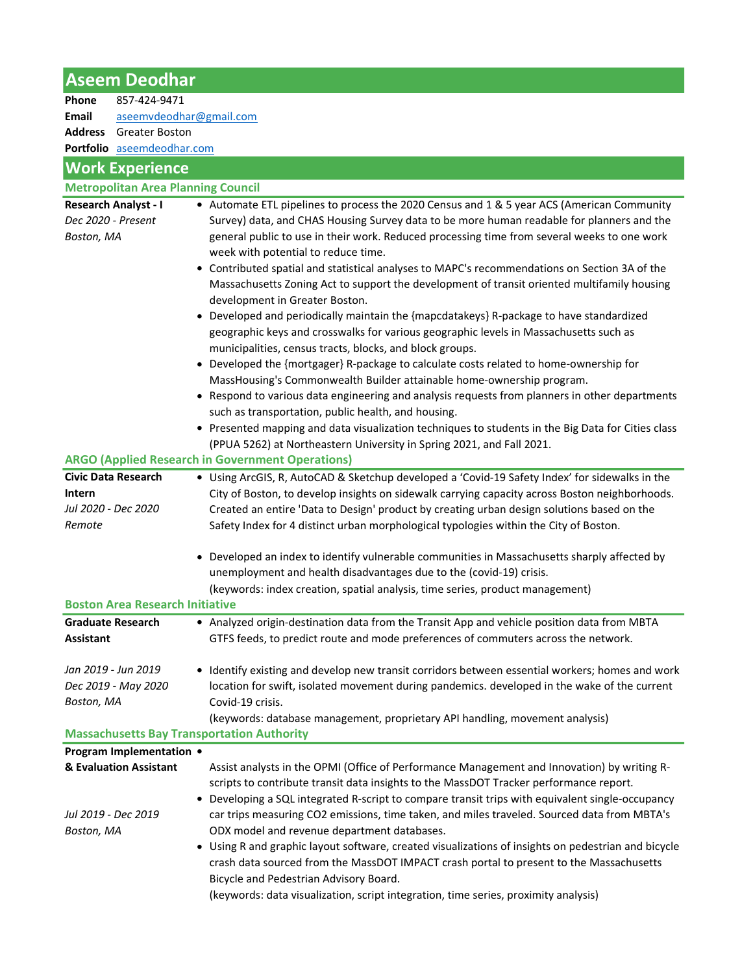## Aseem Deodhar

| Phone | 857-424-9471                      |
|-------|-----------------------------------|
| Email | aseemvdeodhar@gmail.com           |
|       | <b>Address</b> Greater Boston     |
|       | <b>Portfolio</b> aseemdeodhar.com |

## Work Experience

| <b>WORK Experience</b>                                          |                                                                                                                                                                                                                                                                                                                                                                                                                                                                                                                                                                                                                                                                                                                                                                                                                                                                                                                                                                                                                                                                                                                                                                                                                                                   |  |
|-----------------------------------------------------------------|---------------------------------------------------------------------------------------------------------------------------------------------------------------------------------------------------------------------------------------------------------------------------------------------------------------------------------------------------------------------------------------------------------------------------------------------------------------------------------------------------------------------------------------------------------------------------------------------------------------------------------------------------------------------------------------------------------------------------------------------------------------------------------------------------------------------------------------------------------------------------------------------------------------------------------------------------------------------------------------------------------------------------------------------------------------------------------------------------------------------------------------------------------------------------------------------------------------------------------------------------|--|
| <b>Metropolitan Area Planning Council</b>                       |                                                                                                                                                                                                                                                                                                                                                                                                                                                                                                                                                                                                                                                                                                                                                                                                                                                                                                                                                                                                                                                                                                                                                                                                                                                   |  |
| <b>Research Analyst - I</b><br>Dec 2020 - Present<br>Boston, MA | • Automate ETL pipelines to process the 2020 Census and 1 & 5 year ACS (American Community<br>Survey) data, and CHAS Housing Survey data to be more human readable for planners and the<br>general public to use in their work. Reduced processing time from several weeks to one work<br>week with potential to reduce time.<br>• Contributed spatial and statistical analyses to MAPC's recommendations on Section 3A of the<br>Massachusetts Zoning Act to support the development of transit oriented multifamily housing<br>development in Greater Boston.<br>• Developed and periodically maintain the {mapcdatakeys} R-package to have standardized<br>geographic keys and crosswalks for various geographic levels in Massachusetts such as<br>municipalities, census tracts, blocks, and block groups.<br>• Developed the {mortgager} R-package to calculate costs related to home-ownership for<br>MassHousing's Commonwealth Builder attainable home-ownership program.<br>• Respond to various data engineering and analysis requests from planners in other departments<br>such as transportation, public health, and housing.<br>• Presented mapping and data visualization techniques to students in the Big Data for Cities class |  |
|                                                                 | (PPUA 5262) at Northeastern University in Spring 2021, and Fall 2021.<br><b>ARGO (Applied Research in Government Operations)</b>                                                                                                                                                                                                                                                                                                                                                                                                                                                                                                                                                                                                                                                                                                                                                                                                                                                                                                                                                                                                                                                                                                                  |  |
| <b>Civic Data Research</b>                                      | • Using ArcGIS, R, AutoCAD & Sketchup developed a 'Covid-19 Safety Index' for sidewalks in the                                                                                                                                                                                                                                                                                                                                                                                                                                                                                                                                                                                                                                                                                                                                                                                                                                                                                                                                                                                                                                                                                                                                                    |  |
| <b>Intern</b><br>Jul 2020 - Dec 2020<br>Remote                  | City of Boston, to develop insights on sidewalk carrying capacity across Boston neighborhoods.<br>Created an entire 'Data to Design' product by creating urban design solutions based on the<br>Safety Index for 4 distinct urban morphological typologies within the City of Boston.<br>Developed an index to identify vulnerable communities in Massachusetts sharply affected by                                                                                                                                                                                                                                                                                                                                                                                                                                                                                                                                                                                                                                                                                                                                                                                                                                                               |  |
|                                                                 | unemployment and health disadvantages due to the (covid-19) crisis.                                                                                                                                                                                                                                                                                                                                                                                                                                                                                                                                                                                                                                                                                                                                                                                                                                                                                                                                                                                                                                                                                                                                                                               |  |
|                                                                 | (keywords: index creation, spatial analysis, time series, product management)                                                                                                                                                                                                                                                                                                                                                                                                                                                                                                                                                                                                                                                                                                                                                                                                                                                                                                                                                                                                                                                                                                                                                                     |  |
| <b>Boston Area Research Initiative</b>                          |                                                                                                                                                                                                                                                                                                                                                                                                                                                                                                                                                                                                                                                                                                                                                                                                                                                                                                                                                                                                                                                                                                                                                                                                                                                   |  |
| <b>Graduate Research</b><br><b>Assistant</b>                    | • Analyzed origin-destination data from the Transit App and vehicle position data from MBTA<br>GTFS feeds, to predict route and mode preferences of commuters across the network.                                                                                                                                                                                                                                                                                                                                                                                                                                                                                                                                                                                                                                                                                                                                                                                                                                                                                                                                                                                                                                                                 |  |
| Jan 2019 - Jun 2019<br>Dec 2019 - May 2020<br>Boston, MA        | • Identify existing and develop new transit corridors between essential workers; homes and work<br>location for swift, isolated movement during pandemics. developed in the wake of the current<br>Covid-19 crisis.<br>(keywords: database management, proprietary API handling, movement analysis)                                                                                                                                                                                                                                                                                                                                                                                                                                                                                                                                                                                                                                                                                                                                                                                                                                                                                                                                               |  |
|                                                                 | <b>Massachusetts Bay Transportation Authority</b>                                                                                                                                                                                                                                                                                                                                                                                                                                                                                                                                                                                                                                                                                                                                                                                                                                                                                                                                                                                                                                                                                                                                                                                                 |  |
| Program Implementation •                                        |                                                                                                                                                                                                                                                                                                                                                                                                                                                                                                                                                                                                                                                                                                                                                                                                                                                                                                                                                                                                                                                                                                                                                                                                                                                   |  |
| & Evaluation Assistant                                          | Assist analysts in the OPMI (Office of Performance Management and Innovation) by writing R-<br>scripts to contribute transit data insights to the MassDOT Tracker performance report.<br>Developing a SQL integrated R-script to compare transit trips with equivalent single-occupancy                                                                                                                                                                                                                                                                                                                                                                                                                                                                                                                                                                                                                                                                                                                                                                                                                                                                                                                                                           |  |
| Jul 2019 - Dec 2019<br>Boston, MA                               | car trips measuring CO2 emissions, time taken, and miles traveled. Sourced data from MBTA's<br>ODX model and revenue department databases.<br>• Using R and graphic layout software, created visualizations of insights on pedestrian and bicycle                                                                                                                                                                                                                                                                                                                                                                                                                                                                                                                                                                                                                                                                                                                                                                                                                                                                                                                                                                                                 |  |

crash data sourced from the MassDOT IMPACT crash portal to present to the Massachusetts Bicycle and Pedestrian Advisory Board.

(keywords: data visualization, script integration, time series, proximity analysis)